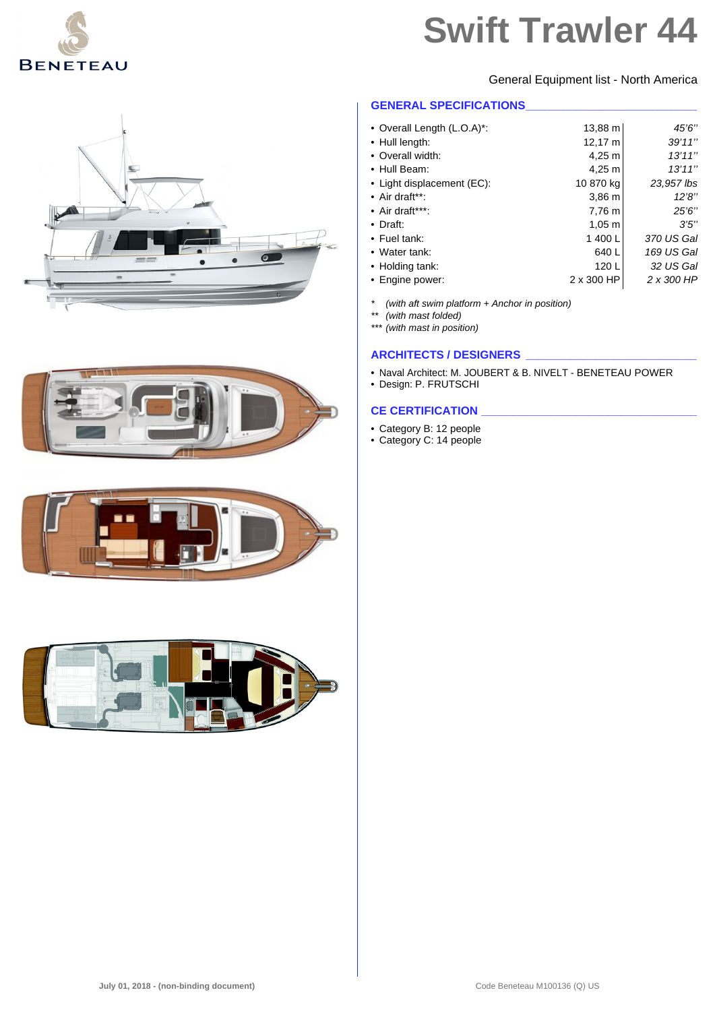

General Equipment list - North America

#### **GENERAL SPECIFICATIONS**

| • Overall Length (L.O.A)*: | 13,88 m            | 45'6"      |
|----------------------------|--------------------|------------|
| • Hull length:             | 12,17 m            | 39'11''    |
| • Overall width:           | $4,25 \; m$        | 13'11''    |
| • Hull Beam:               | 4,25 m             | 13'11''    |
| • Light displacement (EC): | 10 870 kg          | 23.957 lbs |
| $\bullet$ Air draft**:     | $3,86 \, \text{m}$ | 12'8''     |
| $\bullet$ Air draft***:    | 7,76 m             | 25'6''     |
| $\bullet$ Draft:           | $1,05 \; m$        | 3'5''      |
| • Fuel tank:               | 1400L              | 370 US Gal |
| • Water tank:              | 640L               | 169 US Gal |
| • Holding tank:            | 120 L              | 32 US Gal  |
| • Engine power:            | 2 x 300 HP         | 2 x 300 HP |

*\* (with aft swim platform + Anchor in position)*

*\*\* (with mast folded)*

*\*\*\* (with mast in position)*

## **ARCHITECTS / DESIGNERS \_\_\_\_\_\_\_\_\_\_\_\_\_\_\_\_\_\_\_\_\_\_\_\_\_\_\_**

- Naval Architect: M. JOUBERT & B. NIVELT BENETEAU POWER
- Design: P. FRUTSCHI

#### **CE CERTIFICATION \_\_\_\_\_\_\_\_\_\_\_\_\_\_\_\_\_\_\_\_\_\_\_\_\_\_\_\_\_\_\_\_\_\_**

- Category B: 12 people
- Category C: 14 people







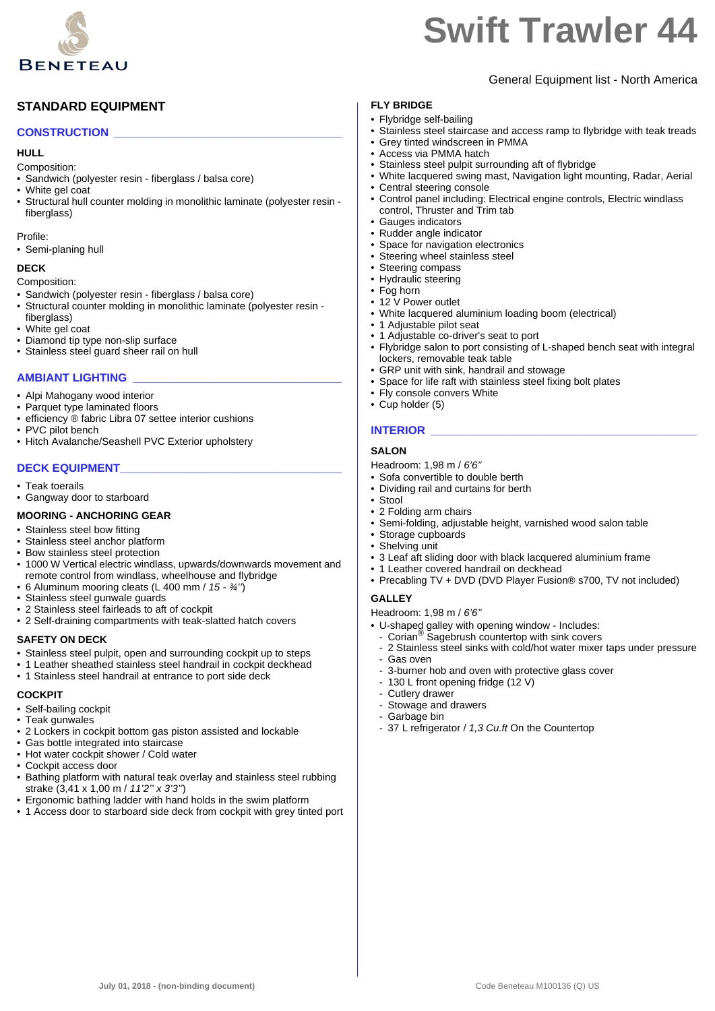

General Equipment list - North America

## **STANDARD EQUIPMENT**

## **CONSTRUCTION \_\_\_\_\_\_\_\_\_\_\_\_\_\_\_\_\_\_\_\_\_\_\_\_\_\_\_\_\_\_\_\_\_\_\_\_**

#### **HULL**

- Composition:
- Sandwich (polyester resin fiberglass / balsa core)
- White gel coat
- Structural hull counter molding in monolithic laminate (polyester resin fiberglass)

Profile:

• Semi-planing hull

#### **DECK**

Composition:

- Sandwich (polyester resin fiberglass / balsa core)
- Structural counter molding in monolithic laminate (polyester resin -
- fiberglass) • White gel coat
- Diamond tip type non-slip surface
- Stainless steel quard sheer rail on hull

#### **AMBIANT LIGHTING \_\_\_\_\_\_\_\_\_\_\_\_\_\_\_\_\_\_\_\_\_\_\_\_\_\_\_\_\_\_\_\_\_**

- Alpi Mahogany wood interior
- Parquet type laminated floors
- efficiency ® fabric Libra 07 settee interior cushions
- PVC pilot bench
- Hitch Avalanche/Seashell PVC Exterior upholstery

## **DECK EQUIPMENT\_\_\_\_\_\_\_\_\_\_\_\_\_\_\_\_\_\_\_\_\_\_\_\_\_\_\_\_\_\_\_\_\_\_\_**

- Teak toerails
- Gangway door to starboard

#### **MOORING - ANCHORING GEAR**

- Stainless steel bow fitting
- Stainless steel anchor platform
- Bow stainless steel protection
- 1000 W Vertical electric windlass, upwards/downwards movement and remote control from windlass, wheelhouse and flybridge
- 6 Aluminum mooring cleats (L 400 mm / *15 ¾''*)
- Stainless steel gunwale guards
- 2 Stainless steel fairleads to aft of cockpit
- 2 Self-draining compartments with teak-slatted hatch covers

### **SAFETY ON DECK**

- Stainless steel pulpit, open and surrounding cockpit up to steps
- 1 Leather sheathed stainless steel handrail in cockpit deckhead
- 1 Stainless steel handrail at entrance to port side deck

#### **COCKPIT**

- Self-bailing cockpit
- Teak gunwales
- 2 Lockers in cockpit bottom gas piston assisted and lockable
- Gas bottle integrated into staircase
- Hot water cockpit shower / Cold water
- Cockpit access door
- Bathing platform with natural teak overlay and stainless steel rubbing strake (3,41 x 1,00 m / *11'2'' x 3'3''*)
- Ergonomic bathing ladder with hand holds in the swim platform
- 1 Access door to starboard side deck from cockpit with grey tinted port

#### **FLY BRIDGE**

- Flybridge self-bailing
- Stainless steel staircase and access ramp to flybridge with teak treads
- Grey tinted windscreen in PMMA
- Access via PMMA hatch
- Stainless steel pulpit surrounding aft of flybridge
- White lacquered swing mast, Navigation light mounting, Radar, Aerial
- Central steering console • Control panel including: Electrical engine controls, Electric windlass control, Thruster and Trim tab
- Gauges indicators
- Rudder angle indicator
- Space for navigation electronics
- Steering wheel stainless steel
- Steering compass
- Hydraulic steering
- Fog horn
- 12 V Power outlet
- White lacquered aluminium loading boom (electrical)
- 1 Adjustable pilot seat
- 1 Adjustable co-driver's seat to port<br>• Elybridge salon to port consisting of
- Flybridge salon to port consisting of L-shaped bench seat with integral lockers, removable teak table
- GRP unit with sink, handrail and stowage
- Space for life raft with stainless steel fixing bolt plates
- Fly console convers White
- Cup holder (5)

### **INTERIOR**

#### **SALON**

- Headroom: 1,98 m / *6'6''*
- Sofa convertible to double berth
- Dividing rail and curtains for berth • Stool
- 2 Folding arm chairs
- Semi-folding, adjustable height, varnished wood salon table
- Storage cupboards
- Shelving unit
- 3 Leaf aft sliding door with black lacquered aluminium frame
- 1 Leather covered handrail on deckhead
- Precabling TV + DVD (DVD Player Fusion® s700, TV not included)

#### **GALLEY**

Headroom: 1,98 m / *6'6''*

- U-shaped galley with opening window Includes: Corian® Sagebrush countertop with sink covers
- 2 Stainless steel sinks with cold/hot water mixer taps under pressure
- Gas oven
- 3-burner hob and oven with protective glass cover
- 130 L front opening fridge (12 V)
- Cutlery drawer
- Stowage and drawers
- Garbage bin
- 37 L refrigerator / *1,3 Cu.ft* On the Countertop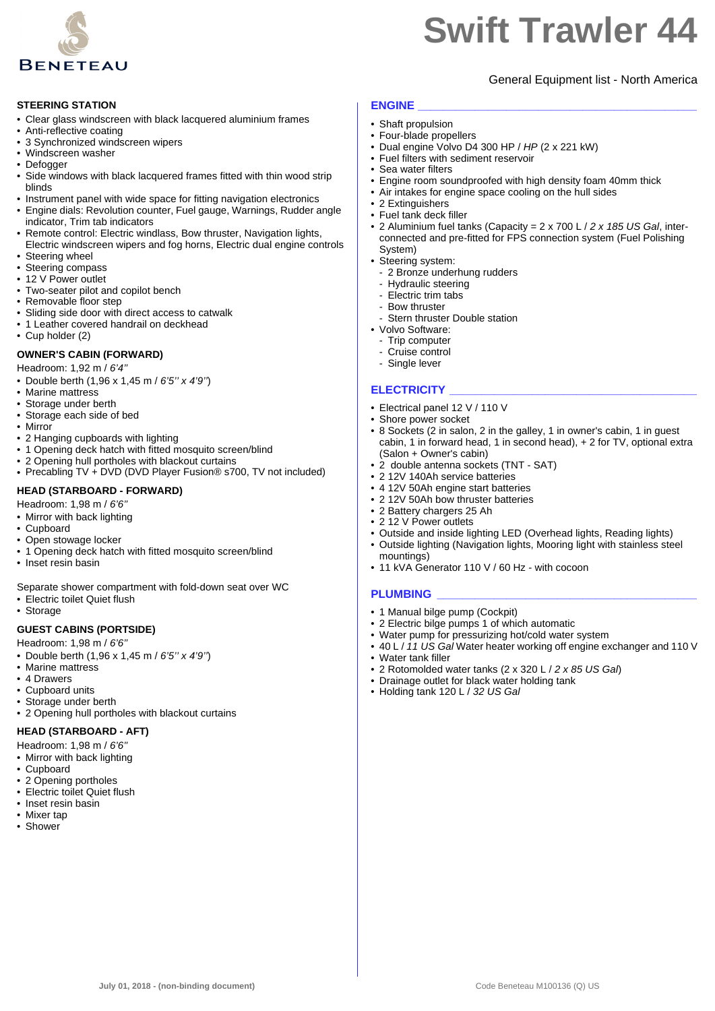

## General Equipment list - North America

#### **STEERING STATION**

- Clear glass windscreen with black lacquered aluminium frames
- Anti-reflective coating
- 3 Synchronized windscreen wipers
- Windscreen washer
- Defogger
- Side windows with black lacquered frames fitted with thin wood strip blinds
- Instrument panel with wide space for fitting navigation electronics
- Engine dials: Revolution counter, Fuel gauge, Warnings, Rudder angle indicator, Trim tab indicators
- Remote control: Electric windlass, Bow thruster, Navigation lights, Electric windscreen wipers and fog horns, Electric dual engine controls
- Steering wheel
- Steering compass
- 12 V Power outlet
- Two-seater pilot and copilot bench
- Removable floor step
- Sliding side door with direct access to catwalk
- 1 Leather covered handrail on deckhead
- Cup holder (2)

#### **OWNER'S CABIN (FORWARD)**

Headroom: 1,92 m / *6'4''*

- Double berth (1,96 x 1,45 m / *6'5'' x 4'9''*)
- Marine mattress
- Storage under berth
- Storage each side of bed
- Mirror
- 2 Hanging cupboards with lighting
- 1 Opening deck hatch with fitted mosquito screen/blind
- 2 Opening hull portholes with blackout curtains • Precabling TV + DVD (DVD Player Fusion® s700, TV not included)

#### **HEAD (STARBOARD - FORWARD)**

- Headroom: 1,98 m / *6'6''*
- Mirror with back lighting
- Cupboard
- Open stowage locker
- 1 Opening deck hatch with fitted mosquito screen/blind
- Inset resin basin

Separate shower compartment with fold-down seat over WC

- Electric toilet Quiet flush
- Storage

#### **GUEST CABINS (PORTSIDE)**

Headroom: 1,98 m / *6'6''*

- Double berth (1,96 x 1,45 m / *6'5'' x 4'9''*)
- Marine mattress
- 4 Drawers
- Cupboard units
- Storage under berth
- 2 Opening hull portholes with blackout curtains

#### **HEAD (STARBOARD - AFT)**

- Headroom: 1,98 m / *6'6''*
- Mirror with back lighting
- Cupboard
- 2 Opening portholes
- Electric toilet Quiet flush
- Inset resin basin
- Mixer tap
- Shower

## **ENGINE \_\_\_\_\_\_\_\_\_\_\_\_\_\_\_\_\_\_\_\_\_\_\_\_\_\_\_\_\_\_\_\_\_\_\_\_\_\_\_\_\_\_\_\_**

- Shaft propulsion
- Four-blade propellers
- Dual engine Volvo D4 300 HP / *HP* (2 x 221 kW)
- Fuel filters with sediment reservoir • Sea water filters
- Engine room soundproofed with high density foam 40mm thick
- Air intakes for engine space cooling on the hull sides
- 2 Extinguishers
- Fuel tank deck filler
- 2 Aluminium fuel tanks (Capacity = 2 x 700 L / *2 x 185 US Gal*, interconnected and pre-fitted for FPS connection system (Fuel Polishing System)
- Steering system:
	- 2 Bronze underhung rudders
- Hydraulic steering
- Electric trim tabs
- Bow thruster
- Stern thruster Double station
- Volvo Software:
	- Trip computer
	- Cruise control
	- Single lever

#### **ELECTRICITY \_\_\_\_\_\_\_\_\_\_\_\_\_\_\_\_\_\_\_\_\_\_\_\_\_\_\_\_\_\_\_\_\_\_\_\_\_\_\_**

- Electrical panel 12 V / 110 V
- Shore power socket
- 8 Sockets (2 in salon, 2 in the galley, 1 in owner's cabin, 1 in guest cabin, 1 in forward head, 1 in second head), + 2 for TV, optional extra (Salon + Owner's cabin)
- 2 double antenna sockets (TNT SAT)
- 2 12V 140Ah service batteries
- 4 12V 50Ah engine start batteries
- 2 12V 50Ah bow thruster batteries
- 2 Battery chargers 25 Ah
- 2 12 V Power outlets
- Outside and inside lighting LED (Overhead lights, Reading lights)
- Outside lighting (Navigation lights, Mooring light with stainless steel mountings)
- 11 kVA Generator 110 V / 60 Hz with cocoon

#### **PLUMBING \_\_\_\_\_\_\_\_\_\_\_\_\_\_\_\_\_\_\_\_\_\_\_\_\_\_\_\_\_\_\_\_\_\_\_\_\_\_\_\_\_**

- 1 Manual bilge pump (Cockpit)
- 2 Electric bilge pumps 1 of which automatic
- Water pump for pressurizing hot/cold water system
- 40 L / *11 US Gal* Water heater working off engine exchanger and 110 V Water tank filler
- 

**July 01, 2018 - (non-binding document)** Code Beneteau M100136 (Q) US

- 2 Rotomolded water tanks (2 x 320 L / *2 x 85 US Gal*)
- Drainage outlet for black water holding tank
- Holding tank 120 L / *32 US Gal*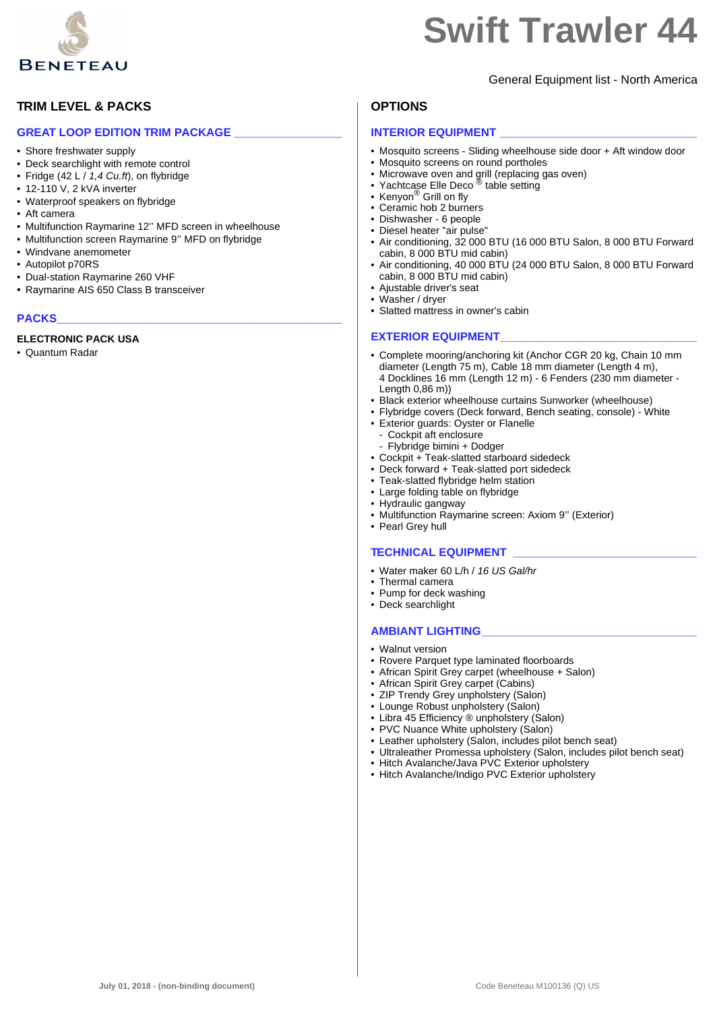

**TRIM LEVEL & PACKS**

• Shore freshwater supply

• 12-110 V, 2 kVA inverter • Waterproof speakers on flybridge

• Windvane anemometer • Autopilot p70RS

• Dual-station Raymarine 260 VHF • Raymarine AIS 650 Class B transceiver

**GREAT LOOP EDITION TRIM PACKAGE** 

• Multifunction Raymarine 12'' MFD screen in wheelhouse • Multifunction screen Raymarine 9'' MFD on flybridge

• Deck searchlight with remote control • Fridge (42 L / *1,4 Cu.ft*), on flybridge

## **Swift Trawler 44**

## General Equipment list - North America

## **OPTIONS**

#### **INTERIOR EQUIPMENT**

- Mosquito screens Sliding wheelhouse side door + Aft window door
- Mosquito screens on round portholes
- Microwave oven and grill (replacing gas oven) Yachtcase Elle Deco ® table setting
- 
- Kenyon® Grill on fly
- Ceramic hob 2 burners
- Dishwasher 6 people
- Diesel heater "air pulse"
- Air conditioning, 32 000 BTU (16 000 BTU Salon, 8 000 BTU Forward cabin, 8 000 BTU mid cabin)
- Air conditioning, 40 000 BTU (24 000 BTU Salon, 8 000 BTU Forward cabin, 8 000 BTU mid cabin)
- Ajustable driver's seat
- Slatted mattress in owner's cabin

#### **EXTERIOR EQUIPMENT**

- Complete mooring/anchoring kit (Anchor CGR 20 kg, Chain 10 mm diameter (Length 75 m), Cable 18 mm diameter (Length 4 m), 4 Docklines 16 mm (Length 12 m) - 6 Fenders (230 mm diameter - Length 0,86 m))
- Black exterior wheelhouse curtains Sunworker (wheelhouse)
- Flybridge covers (Deck forward, Bench seating, console) White • Exterior guards: Oyster or Flanelle
- Cockpit aft enclosure - Flybridge bimini + Dodger
- Cockpit + Teak-slatted starboard sidedeck
- Deck forward + Teak-slatted port sidedeck
- Teak-slatted flybridge helm station
- Large folding table on flybridge
- Hydraulic gangway
- Multifunction Raymarine screen: Axiom 9'' (Exterior)
- Pearl Grey hull

#### **TECHNICAL EQUIPMENT \_\_\_\_\_\_\_\_\_\_\_\_\_\_\_\_\_\_\_\_\_\_\_\_\_\_\_\_\_**

- Water maker 60 L/h / *16 US Gal/hr*
- Thermal camera
- Pump for deck washing
- Deck searchlight

## **AMBIANT LIGHTING\_\_\_\_\_\_\_\_\_\_\_\_\_\_\_\_\_\_\_\_\_\_\_\_\_\_\_\_\_\_\_\_\_\_**

- Walnut version
- Rovere Parquet type laminated floorboards
- African Spirit Grey carpet (wheelhouse + Salon)
- African Spirit Grey carpet (Cabins)
- ZIP Trendy Grey unpholstery (Salon)
- Lounge Robust unpholstery (Salon)
- Libra 45 Efficiency ® unpholstery (Salon)
- PVC Nuance White upholstery (Salon)
- Leather upholstery (Salon, includes pilot bench seat)
- Ultraleather Promessa upholstery (Salon, includes pilot bench seat)
- Hitch Avalanche/Java PVC Exterior upholstery
- Hitch Avalanche/Indigo PVC Exterior upholstery



## PACKS

• Aft camera

#### **ELECTRONIC PACK USA**

• Quantum Radar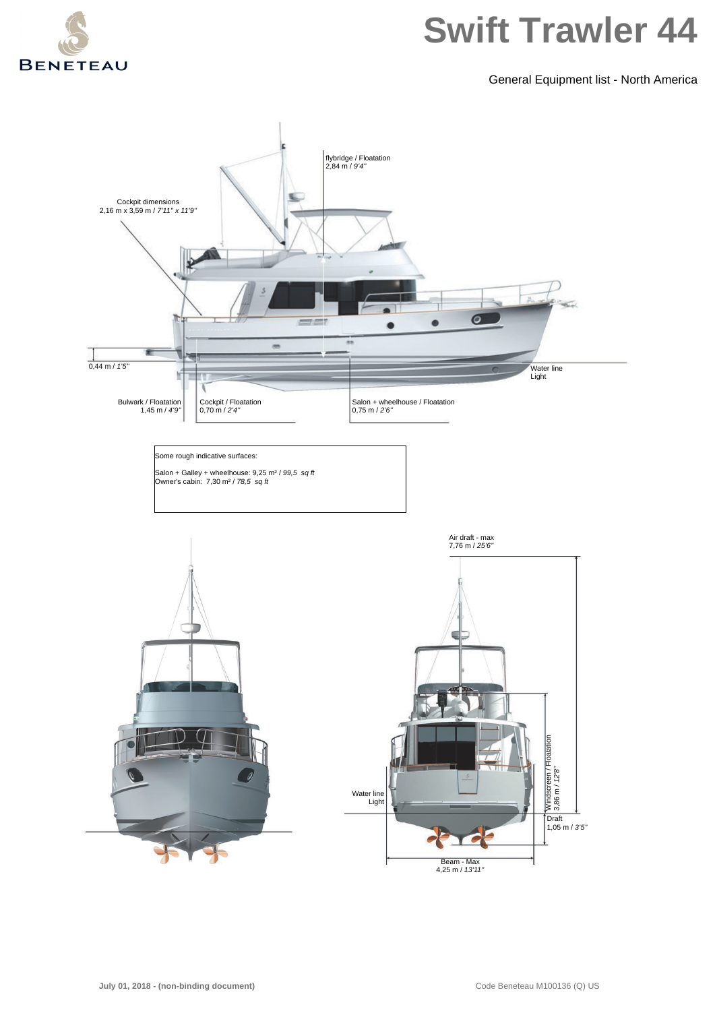

General Equipment list - North America